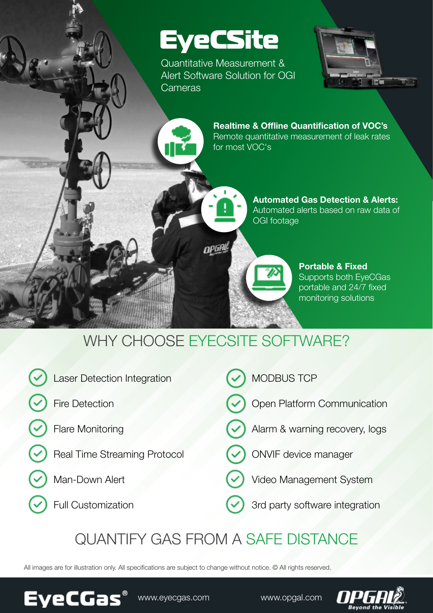# EyeCSite

Quantitative Measurement & Alert Software Solution for OGI Cameras



Realtime & Offline Quantification of VOC's Remote quantitative measurement of leak rates for most VOC's



**Portable & Fixed** Supports both EyeCGas portable and 24/7 fixed monitoring solutions

## WHY CHOOSE EYECSITE SOFTWARE?

opga

| Laser Detection Integration<br>$\checkmark$ | MODBUS TCP                         |
|---------------------------------------------|------------------------------------|
| <b>Fire Detection</b><br>(✓                 | Open Platform Communication        |
| Flare Monitoring<br>$(\checkmark)$          | (V) Alarm & warning recovery, logs |
| Real Time Streaming Protocol                | ONVIF device manager               |
| Man-Down Alert<br>(✓                        | Video Management System            |
| $\odot$ Full Customization                  | 3rd party software integration     |
|                                             |                                    |

### QUANTIFY GAS FROM A SAFE DISTANCE

All images are for illustration only. All specifications are subject to change without notice. © All rights reserved.



www.eyecgas.com. www.opgal.com

**EyeCGas®**